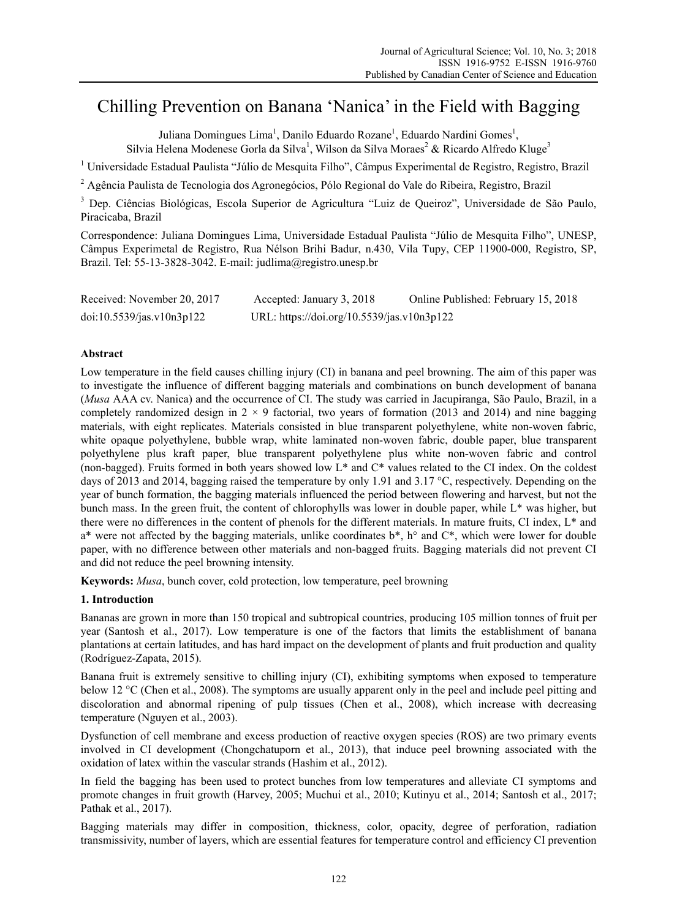# Chilling Prevention on Banana 'Nanica' in the Field with Bagging

Juliana Domingues Lima<sup>1</sup>, Danilo Eduardo Rozane<sup>1</sup>, Eduardo Nardini Gomes<sup>1</sup>,

Silvia Helena Modenese Gorla da Silva<sup>1</sup>, Wilson da Silva Moraes<sup>2</sup> & Ricardo Alfredo Kluge<sup>3</sup>

<sup>1</sup> Universidade Estadual Paulista "Júlio de Mesquita Filho", Câmpus Experimental de Registro, Registro, Brazil

<sup>2</sup> Agência Paulista de Tecnologia dos Agronegócios, Pólo Regional do Vale do Ribeira, Registro, Brazil

<sup>3</sup> Dep. Ciências Biológicas, Escola Superior de Agricultura "Luiz de Queiroz", Universidade de São Paulo, Piracicaba, Brazil

Correspondence: Juliana Domingues Lima, Universidade Estadual Paulista "Júlio de Mesquita Filho", UNESP, Câmpus Experimetal de Registro, Rua Nélson Brihi Badur, n.430, Vila Tupy, CEP 11900-000, Registro, SP, Brazil. Tel: 55-13-3828-3042. E-mail: judlima@registro.unesp.br

| Received: November 20, 2017 | Accepted: January 3, 2018                  | Online Published: February 15, 2018 |
|-----------------------------|--------------------------------------------|-------------------------------------|
| doi:10.5539/jas.v10n3p122   | URL: https://doi.org/10.5539/jas.v10n3p122 |                                     |

# **Abstract**

Low temperature in the field causes chilling injury (CI) in banana and peel browning. The aim of this paper was to investigate the influence of different bagging materials and combinations on bunch development of banana (*Musa* AAA cv. Nanica) and the occurrence of CI. The study was carried in Jacupiranga, São Paulo, Brazil, in a completely randomized design in  $2 \times 9$  factorial, two years of formation (2013 and 2014) and nine bagging materials, with eight replicates. Materials consisted in blue transparent polyethylene, white non-woven fabric, white opaque polyethylene, bubble wrap, white laminated non-woven fabric, double paper, blue transparent polyethylene plus kraft paper, blue transparent polyethylene plus white non-woven fabric and control (non-bagged). Fruits formed in both years showed low L\* and C\* values related to the CI index. On the coldest days of 2013 and 2014, bagging raised the temperature by only 1.91 and 3.17 °C, respectively. Depending on the year of bunch formation, the bagging materials influenced the period between flowering and harvest, but not the bunch mass. In the green fruit, the content of chlorophylls was lower in double paper, while L\* was higher, but there were no differences in the content of phenols for the different materials. In mature fruits, CI index, L\* and  $a^*$  were not affected by the bagging materials, unlike coordinates  $b^*$ , h° and  $C^*$ , which were lower for double paper, with no difference between other materials and non-bagged fruits. Bagging materials did not prevent CI and did not reduce the peel browning intensity.

**Keywords:** *Musa*, bunch cover, cold protection, low temperature, peel browning

# **1. Introduction**

Bananas are grown in more than 150 tropical and subtropical countries, producing 105 million tonnes of fruit per year (Santosh et al., 2017). Low temperature is one of the factors that limits the establishment of banana plantations at certain latitudes, and has hard impact on the development of plants and fruit production and quality (Rodríguez-Zapata, 2015).

Banana fruit is extremely sensitive to chilling injury (CI), exhibiting symptoms when exposed to temperature below 12 °C (Chen et al., 2008). The symptoms are usually apparent only in the peel and include peel pitting and discoloration and abnormal ripening of pulp tissues (Chen et al., 2008), which increase with decreasing temperature (Nguyen et al., 2003).

Dysfunction of cell membrane and excess production of reactive oxygen species (ROS) are two primary events involved in CI development (Chongchatuporn et al., 2013), that induce peel browning associated with the oxidation of latex within the vascular strands (Hashim et al., 2012).

In field the bagging has been used to protect bunches from low temperatures and alleviate CI symptoms and promote changes in fruit growth (Harvey, 2005; Muchui et al., 2010; Kutinyu et al., 2014; Santosh et al., 2017; Pathak et al., 2017).

Bagging materials may differ in composition, thickness, color, opacity, degree of perforation, radiation transmissivity, number of layers, which are essential features for temperature control and efficiency CI prevention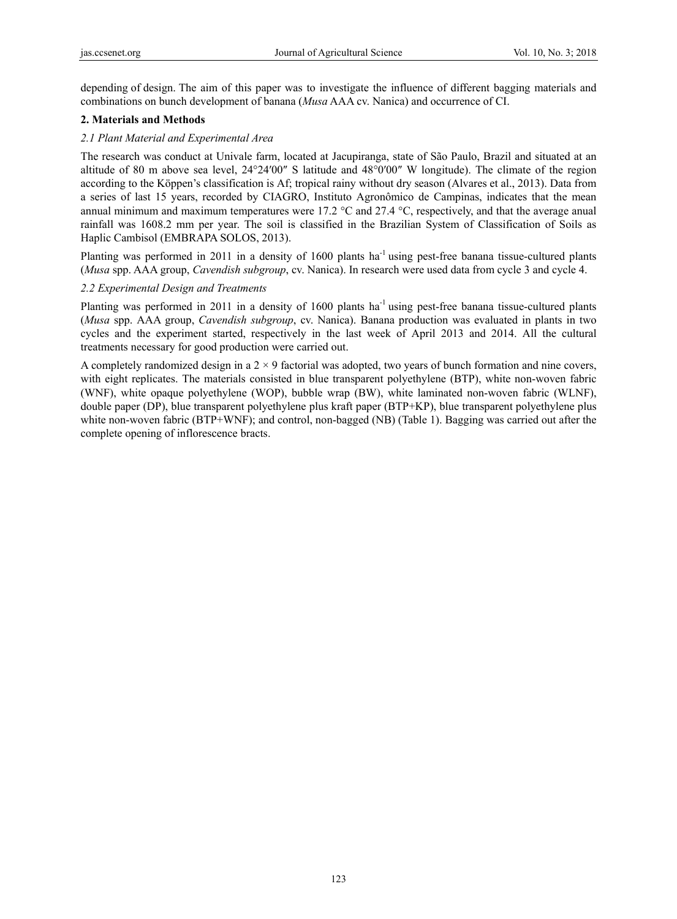depending of design. The aim of this paper was to investigate the influence of different bagging materials and combinations on bunch development of banana (*Musa* AAA cv. Nanica) and occurrence of CI.

## **2. Materials and Methods**

## *2.1 Plant Material and Experimental Area*

The research was conduct at Univale farm, located at Jacupiranga, state of São Paulo, Brazil and situated at an altitude of 80 m above sea level,  $24^{\circ}24'00''$  S latitude and  $48^{\circ}0'00''$  W longitude). The climate of the region according to the Köppen's classification is Af; tropical rainy without dry season (Alvares et al., 2013). Data from a series of last 15 years, recorded by CIAGRO, Instituto Agronômico de Campinas, indicates that the mean annual minimum and maximum temperatures were 17.2 °C and 27.4 °C, respectively, and that the average anual rainfall was 1608.2 mm per year. The soil is classified in the Brazilian System of Classification of Soils as Haplic Cambisol (EMBRAPA SOLOS, 2013).

Planting was performed in 2011 in a density of 1600 plants ha<sup>-1</sup> using pest-free banana tissue-cultured plants (*Musa* spp. AAA group, *Cavendish subgroup*, cv. Nanica). In research were used data from cycle 3 and cycle 4.

## *2.2 Experimental Design and Treatments*

Planting was performed in 2011 in a density of 1600 plants  $ha^{-1}$  using pest-free banana tissue-cultured plants (*Musa* spp. AAA group, *Cavendish subgroup*, cv. Nanica). Banana production was evaluated in plants in two cycles and the experiment started, respectively in the last week of April 2013 and 2014. All the cultural treatments necessary for good production were carried out.

A completely randomized design in a  $2 \times 9$  factorial was adopted, two years of bunch formation and nine covers, with eight replicates. The materials consisted in blue transparent polyethylene (BTP), white non-woven fabric (WNF), white opaque polyethylene (WOP), bubble wrap (BW), white laminated non-woven fabric (WLNF), double paper (DP), blue transparent polyethylene plus kraft paper (BTP+KP), blue transparent polyethylene plus white non-woven fabric (BTP+WNF); and control, non-bagged (NB) (Table 1). Bagging was carried out after the complete opening of inflorescence bracts.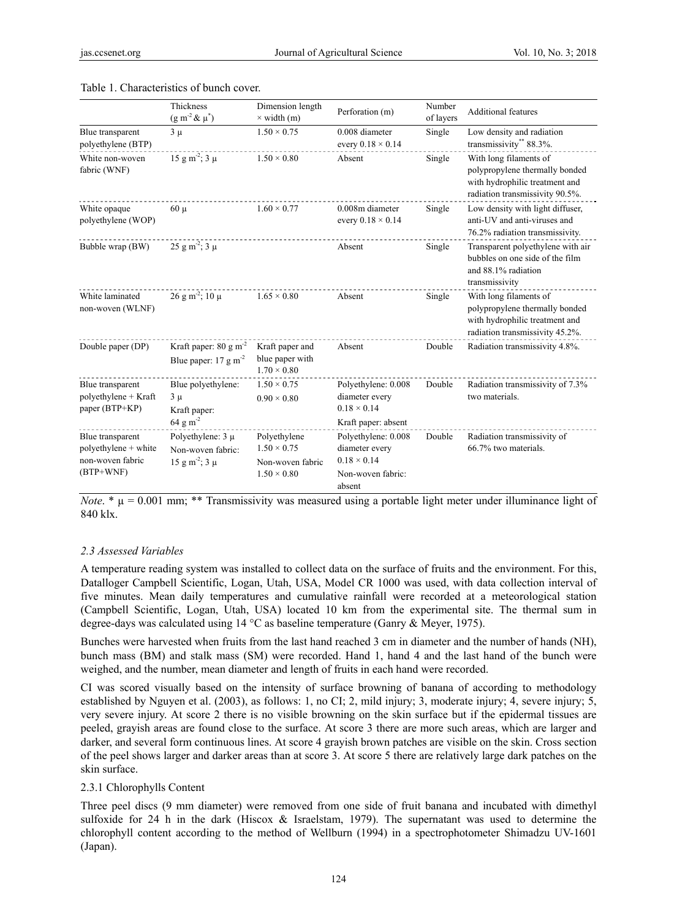|                                                                           | Thickness<br>$(g m^{-2} \& \mu^*)$                                         | Dimension length<br>$\times$ width (m)                                       | Perforation (m)                                                                            | Number<br>of layers | <b>Additional features</b>                                                                                                    |  |  |
|---------------------------------------------------------------------------|----------------------------------------------------------------------------|------------------------------------------------------------------------------|--------------------------------------------------------------------------------------------|---------------------|-------------------------------------------------------------------------------------------------------------------------------|--|--|
| Blue transparent<br>polyethylene (BTP)                                    | $1.50 \times 0.75$<br>$3 \mu$                                              |                                                                              | 0.008 diameter<br>every $0.18 \times 0.14$                                                 | Single              | Low density and radiation<br>transmissivity** 88.3%.                                                                          |  |  |
| White non-woven<br>fabric (WNF)                                           | $15 \text{ g m}^2$ ; $3 \mu$                                               | $1.50 \times 0.80$                                                           | Absent                                                                                     | Single              | With long filaments of<br>polypropylene thermally bonded<br>with hydrophilic treatment and<br>radiation transmissivity 90.5%. |  |  |
| White opaque<br>polyethylene (WOP)                                        | $60 \mu$                                                                   | $1.60 \times 0.77$                                                           | 0.008m diameter<br>every $0.18 \times 0.14$                                                | Single              | Low density with light diffuser,<br>anti-UV and anti-viruses and<br>76.2% radiation transmissivity.                           |  |  |
| Bubble wrap (BW)                                                          | $25 \text{ g m}^2$ ; $3 \mu$                                               |                                                                              | Absent                                                                                     | Single              | Transparent polyethylene with air<br>bubbles on one side of the film<br>and 88.1% radiation<br>transmissivity                 |  |  |
| White laminated<br>non-woven (WLNF)                                       | $26 \text{ g m}^2$ ; $10 \mu$                                              | $1.65 \times 0.80$                                                           | Absent                                                                                     | Single              | With long filaments of<br>polypropylene thermally bonded<br>with hydrophilic treatment and<br>radiation transmissivity 45.2%. |  |  |
| Double paper (DP)                                                         | Kraft paper: $80 \text{ g m}^{-2}$<br>Blue paper: $17 \text{ g m}^{-2}$    | Kraft paper and<br>blue paper with<br>$1.70 \times 0.80$                     | Absent                                                                                     | Double              | Radiation transmissivity 4.8%.                                                                                                |  |  |
| Blue transparent<br>polyethylene + Kraft<br>paper (BTP+KP)                | Blue polyethylene:<br>$3 \mu$<br>Kraft paper:                              | $1.50 \times 0.75$<br>$0.90 \times 0.80$                                     | Polyethylene: 0.008<br>diameter every<br>$0.18 \times 0.14$                                | Double              | Radiation transmissivity of 7.3%<br>two materials.                                                                            |  |  |
|                                                                           | $64 \text{ g m}^{-2}$                                                      |                                                                              | Kraft paper: absent                                                                        |                     |                                                                                                                               |  |  |
| Blue transparent<br>polyethylene + white<br>non-woven fabric<br>(BTP+WNF) | Polyethylene: $3 \mu$<br>Non-woven fabric:<br>$15 \text{ g m}^2$ ; $3 \mu$ | Polyethylene<br>$1.50 \times 0.75$<br>Non-woven fabric<br>$1.50 \times 0.80$ | Polyethylene: 0.008<br>diameter every<br>$0.18 \times 0.14$<br>Non-woven fabric:<br>absent | Double              | Radiation transmissivity of<br>66.7% two materials.                                                                           |  |  |

#### Table 1. Characteristics of bunch cover.

*Note*.  $*\mu = 0.001$  mm; \*\* Transmissivity was measured using a portable light meter under illuminance light of 840 klx.

### *2.3 Assessed Variables*

A temperature reading system was installed to collect data on the surface of fruits and the environment. For this, Datalloger Campbell Scientific, Logan, Utah, USA, Model CR 1000 was used, with data collection interval of five minutes. Mean daily temperatures and cumulative rainfall were recorded at a meteorological station (Campbell Scientific, Logan, Utah, USA) located 10 km from the experimental site. The thermal sum in degree-days was calculated using 14 °C as baseline temperature (Ganry & Meyer, 1975).

Bunches were harvested when fruits from the last hand reached 3 cm in diameter and the number of hands (NH), bunch mass (BM) and stalk mass (SM) were recorded. Hand 1, hand 4 and the last hand of the bunch were weighed, and the number, mean diameter and length of fruits in each hand were recorded.

CI was scored visually based on the intensity of surface browning of banana of according to methodology established by Nguyen et al. (2003), as follows: 1, no CI; 2, mild injury; 3, moderate injury; 4, severe injury; 5, very severe injury. At score 2 there is no visible browning on the skin surface but if the epidermal tissues are peeled, grayish areas are found close to the surface. At score 3 there are more such areas, which are larger and darker, and several form continuous lines. At score 4 grayish brown patches are visible on the skin. Cross section of the peel shows larger and darker areas than at score 3. At score 5 there are relatively large dark patches on the skin surface.

### 2.3.1 Chlorophylls Content

Three peel discs (9 mm diameter) were removed from one side of fruit banana and incubated with dimethyl sulfoxide for 24 h in the dark (Hiscox & Israelstam, 1979). The supernatant was used to determine the chlorophyll content according to the method of Wellburn (1994) in a spectrophotometer Shimadzu UV-1601 (Japan).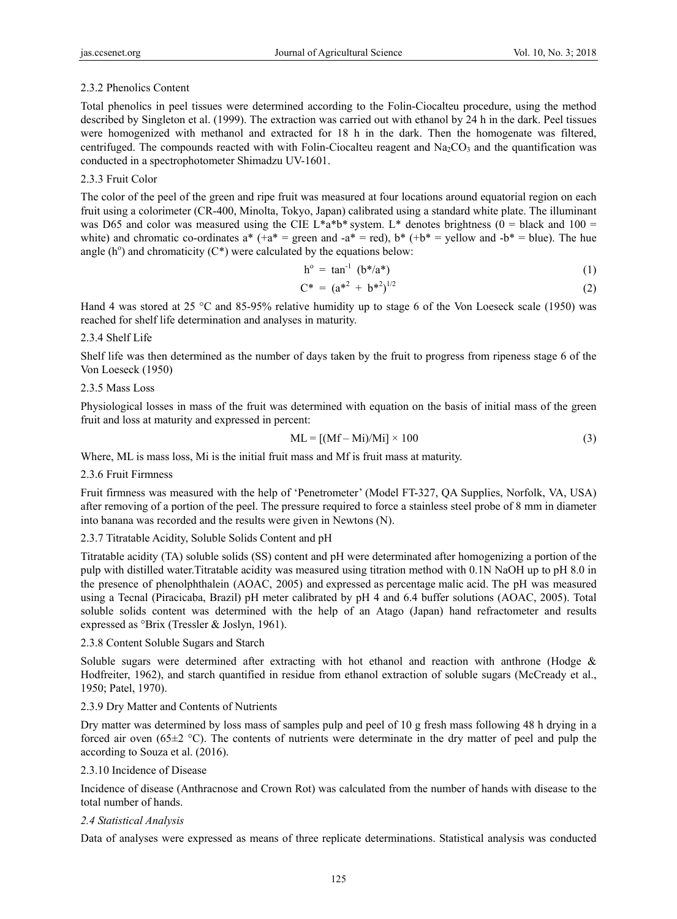# 2.3.2 Phenolics Content

Total phenolics in peel tissues were determined according to the Folin-Ciocalteu procedure, using the method described by Singleton et al. (1999). The extraction was carried out with ethanol by 24 h in the dark. Peel tissues were homogenized with methanol and extracted for 18 h in the dark. Then the homogenate was filtered, centrifuged. The compounds reacted with with Folin-Ciocalteu reagent and  $Na_2CO_3$  and the quantification was conducted in a spectrophotometer Shimadzu UV-1601.

## 2.3.3 Fruit Color

The color of the peel of the green and ripe fruit was measured at four locations around equatorial region on each fruit using a colorimeter (CR-400, Minolta, Tokyo, Japan) calibrated using a standard white plate. The illuminant was D65 and color was measured using the CIE L\*a\*b\* system. L\* denotes brightness (0 = black and 100 = white) and chromatic co-ordinates a\*  $(+a^* =$  green and  $-a^* =$  red),  $b^* (+b^* =$  yellow and  $-b^* =$  blue). The hue angle ( $h^{\circ}$ ) and chromaticity ( $C^*$ ) were calculated by the equations below:

$$
h^{\circ} = \tan^{-1} \left( b^* / a^* \right) \tag{1}
$$

$$
C^* = (a^{*2} + b^{*2})^{1/2}
$$
 (2)

Hand 4 was stored at 25 °C and 85-95% relative humidity up to stage 6 of the Von Loeseck scale (1950) was reached for shelf life determination and analyses in maturity.

### 2.3.4 Shelf Life

Shelf life was then determined as the number of days taken by the fruit to progress from ripeness stage 6 of the Von Loeseck (1950)

### 2.3.5 Mass Loss

Physiological losses in mass of the fruit was determined with equation on the basis of initial mass of the green fruit and loss at maturity and expressed in percent:

$$
ML = [(Mf - Mi)/Mi] \times 100
$$
 (3)

Where, ML is mass loss, Mi is the initial fruit mass and Mf is fruit mass at maturity.

### 2.3.6 Fruit Firmness

Fruit firmness was measured with the help of 'Penetrometer' (Model FT-327, QA Supplies, Norfolk, VA, USA) after removing of a portion of the peel. The pressure required to force a stainless steel probe of 8 mm in diameter into banana was recorded and the results were given in Newtons (N).

### 2.3.7 Titratable Acidity, Soluble Solids Content and pH

Titratable acidity (TA) soluble solids (SS) content and pH were determinated after homogenizing a portion of the pulp with distilled water.Titratable acidity was measured using titration method with 0.1N NaOH up to pH 8.0 in the presence of phenolphthalein (AOAC, 2005) and expressed as percentage malic acid. The pH was measured using a Tecnal (Piracicaba, Brazil) pH meter calibrated by pH 4 and 6.4 buffer solutions (AOAC, 2005). Total soluble solids content was determined with the help of an Atago (Japan) hand refractometer and results expressed as  ${}^{\circ}$ Brix (Tressler & Joslyn, 1961).

### 2.3.8 Content Soluble Sugars and Starch

Soluble sugars were determined after extracting with hot ethanol and reaction with anthrone (Hodge & Hodfreiter, 1962), and starch quantified in residue from ethanol extraction of soluble sugars (McCready et al., 1950; Patel, 1970).

### 2.3.9 Dry Matter and Contents of Nutrients

Dry matter was determined by loss mass of samples pulp and peel of 10 g fresh mass following 48 h drying in a forced air oven (65 $\pm$ 2 °C). The contents of nutrients were determinate in the dry matter of peel and pulp the according to Souza et al. (2016).

### 2.3.10 Incidence of Disease

Incidence of disease (Anthracnose and Crown Rot) was calculated from the number of hands with disease to the total number of hands.

### *2.4 Statistical Analysis*

Data of analyses were expressed as means of three replicate determinations. Statistical analysis was conducted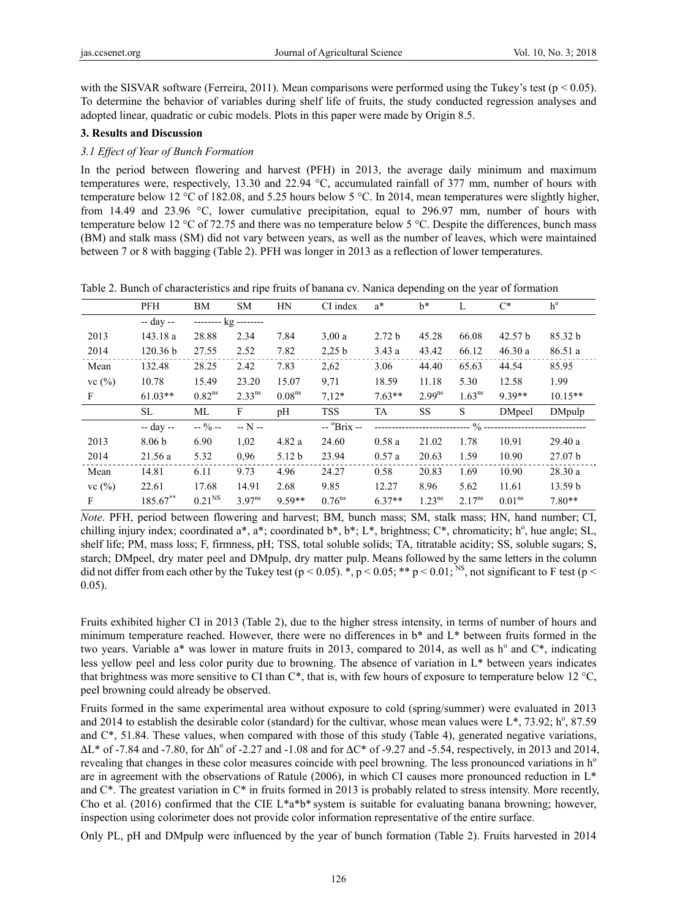with the SISVAR software (Ferreira, 2011). Mean comparisons were performed using the Tukey's test ( $p < 0.05$ ). To determine the behavior of variables during shelf life of fruits, the study conducted regression analyses and adopted linear, quadratic or cubic models. Plots in this paper were made by Origin 8.5.

## **3. Results and Discussion**

## *3.1 Effect of Year of Bunch Formation*

In the period between flowering and harvest (PFH) in 2013, the average daily minimum and maximum temperatures were, respectively, 13.30 and 22.94 °C, accumulated rainfall of 377 mm, number of hours with temperature below 12 °C of 182.08, and 5.25 hours below 5 °C. In 2014, mean temperatures were slightly higher, from 14.49 and 23.96 °C, lower cumulative precipitation, equal to 296.97 mm, number of hours with temperature below 12 °C of 72.75 and there was no temperature below 5 °C. Despite the differences, bunch mass (BM) and stalk mass (SM) did not vary between years, as well as the number of leaves, which were maintained between 7 or 8 with bagging (Table 2). PFH was longer in 2013 as a reflection of lower temperatures.

| Table 2. Bunch of characteristics and ripe fruits of banana cv. Nanica depending on the year of formation |
|-----------------------------------------------------------------------------------------------------------|
|-----------------------------------------------------------------------------------------------------------|

|           | PFH               | BM                   | <b>SM</b>   | HN                 | CI index    | $a^*$             | $b^*$       | L                  | $C^*$                 | $h^{\text{o}}$     |
|-----------|-------------------|----------------------|-------------|--------------------|-------------|-------------------|-------------|--------------------|-----------------------|--------------------|
|           | -- day --         | -------- kg -------- |             |                    |             |                   |             |                    |                       |                    |
| 2013      | 143.18 a          | 28.88                | 2.34        | 7.84               | 3.00a       | 2.72 <sub>b</sub> | 45.28       | 66.08              | 42.57 b               | 85.32 b            |
| 2014      | 120.36 b          | 27.55                | 2.52        | 7.82               | 2,25 b      | 3.43a             | 43.42       | 66.12              | 46.30a                | 86.51 a            |
| Mean      | 132.48            | 28.25                | 2.42        | 7.83               | 2,62        | 3.06              | 44.40       | 65.63              | 44.54                 | 85.95              |
| vc $(\%)$ | 10.78             | 15.49                | 23.20       | 15.07              | 9,71        | 18.59             | 11.18       | 5.30               | 12.58                 | 1.99               |
| F         | $61.03**$         | $0.82^{ns}$          | $2.33^{ns}$ | 0.08 <sup>ns</sup> | $7,12*$     | $7.63**$          | $2.99^{ns}$ | 1.63 <sup>ns</sup> | 9.39**                | $10.15**$          |
|           | SL                | МL                   | F           | pH                 | <b>TSS</b>  | TA                | <b>SS</b>   | S                  | <b>DMpeel</b>         | DMpulp             |
|           | -- day --         | $-9/0 -$             | $- N -$     |                    | -- °Brix -- |                   |             |                    |                       |                    |
|           |                   |                      |             |                    |             |                   |             |                    | $\%$ ---------------- |                    |
| 2013      | 8.06 <sub>b</sub> | 6.90                 | 1,02        | 4.82a              | 24.60       | 0.58a             | 21.02       | 1.78               | 10.91                 | 29.40a             |
| 2014      | 21.56a            | 5.32                 | 0.96        | 5.12 <sub>b</sub>  | 23.94       | 0.57a             | 20.63       | 1.59               | 10.90                 | 27.07 <sub>b</sub> |
| Mean      | 14.81             | 6.11                 | 9.73        | 4.96               | 24.27       | 0.58              | 20.83       | 1.69               | 10.90                 | 28.30a             |
| vc $(\%)$ | 22.61             | 17.68                | 14.91       | 2.68               | 9.85        | 12.27             | 8.96        | 5.62               | 11.61                 | 13.59 <sub>b</sub> |

*Note*. PFH, period between flowering and harvest; BM, bunch mass; SM, stalk mass; HN, hand number; CI, chilling injury index; coordinated  $a^*$ ,  $a^*$ ; coordinated  $b^*$ ,  $b^*$ ; L<sup>\*</sup>, brightness; C<sup>\*</sup>, chromaticity;  $h^{\circ}$ , hue angle; SL, shelf life; PM, mass loss; F, firmness, pH; TSS, total soluble solids; TA, titratable acidity; SS, soluble sugars; S, starch; DMpeel, dry mater peel and DMpulp, dry matter pulp. Means followed by the same letters in the column did not differ from each other by the Tukey test ( $p < 0.05$ ).  $\ast$ ,  $p < 0.05$ ;  $\ast \ast$   $p < 0.01$ ; <sup>NS</sup>, not significant to F test ( $p <$ 0.05).

Fruits exhibited higher CI in 2013 (Table 2), due to the higher stress intensity, in terms of number of hours and minimum temperature reached. However, there were no differences in b\* and L\* between fruits formed in the two years. Variable a\* was lower in mature fruits in 2013, compared to 2014, as well as  $h^{\circ}$  and  $C^*$ , indicating less yellow peel and less color purity due to browning. The absence of variation in L\* between years indicates that brightness was more sensitive to CI than  $C^*$ , that is, with few hours of exposure to temperature below 12 °C, peel browning could already be observed.

Fruits formed in the same experimental area without exposure to cold (spring/summer) were evaluated in 2013 and 2014 to establish the desirable color (standard) for the cultivar, whose mean values were  $L^*$ , 73.92; h<sup>o</sup>, 87.59 and C\*, 51.84. These values, when compared with those of this study (Table 4), generated negative variations,  $\Delta L^*$  of -7.84 and -7.80, for  $\Delta h^{\circ}$  of -2.27 and -1.08 and for  $\Delta C^*$  of -9.27 and -5.54, respectively, in 2013 and 2014, revealing that changes in these color measures coincide with peel browning. The less pronounced variations in h<sup>o</sup> are in agreement with the observations of Ratule (2006), in which CI causes more pronounced reduction in  $L^*$ and  $C^*$ . The greatest variation in  $C^*$  in fruits formed in 2013 is probably related to stress intensity. More recently, Cho et al. (2016) confirmed that the CIE L\*a\*b\* system is suitable for evaluating banana browning; however, inspection using colorimeter does not provide color information representative of the entire surface.

Only PL, pH and DMpulp were influenced by the year of bunch formation (Table 2). Fruits harvested in 2014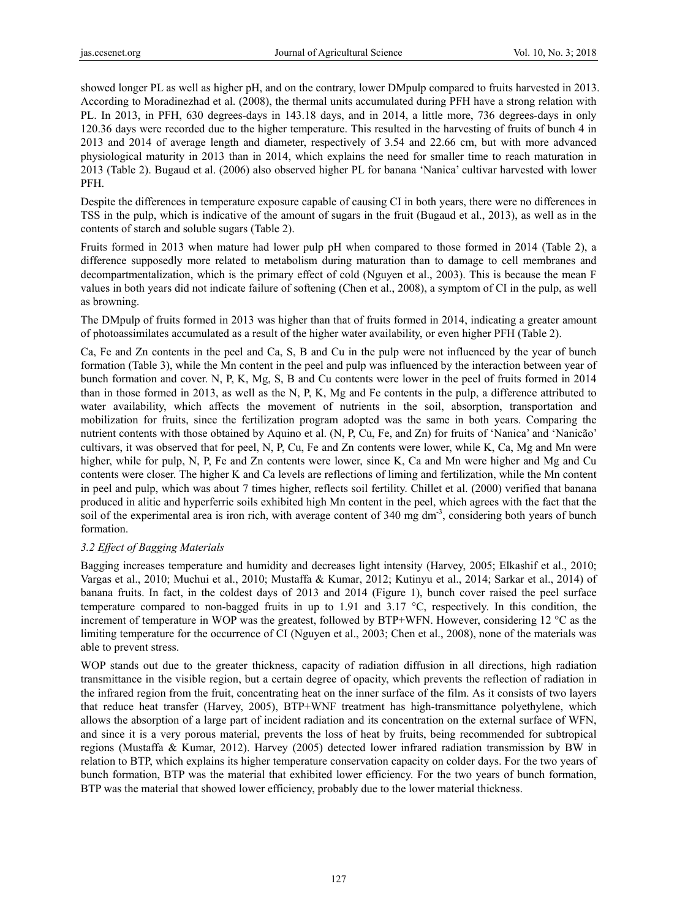showed longer PL as well as higher pH, and on the contrary, lower DMpulp compared to fruits harvested in 2013. According to Moradinezhad et al. (2008), the thermal units accumulated during PFH have a strong relation with PL. In 2013, in PFH, 630 degrees-days in 143.18 days, and in 2014, a little more, 736 degrees-days in only 120.36 days were recorded due to the higher temperature. This resulted in the harvesting of fruits of bunch 4 in 2013 and 2014 of average length and diameter, respectively of 3.54 and 22.66 cm, but with more advanced physiological maturity in 2013 than in 2014, which explains the need for smaller time to reach maturation in 2013 (Table 2). Bugaud et al. (2006) also observed higher PL for banana 'Nanica' cultivar harvested with lower PFH.

Despite the differences in temperature exposure capable of causing CI in both years, there were no differences in TSS in the pulp, which is indicative of the amount of sugars in the fruit (Bugaud et al., 2013), as well as in the contents of starch and soluble sugars (Table 2).

Fruits formed in 2013 when mature had lower pulp pH when compared to those formed in 2014 (Table 2), a difference supposedly more related to metabolism during maturation than to damage to cell membranes and decompartmentalization, which is the primary effect of cold (Nguyen et al., 2003). This is because the mean F values in both years did not indicate failure of softening (Chen et al., 2008), a symptom of CI in the pulp, as well as browning.

The DMpulp of fruits formed in 2013 was higher than that of fruits formed in 2014, indicating a greater amount of photoassimilates accumulated as a result of the higher water availability, or even higher PFH (Table 2).

Ca, Fe and Zn contents in the peel and Ca, S, B and Cu in the pulp were not influenced by the year of bunch formation (Table 3), while the Mn content in the peel and pulp was influenced by the interaction between year of bunch formation and cover. N, P, K, Mg, S, B and Cu contents were lower in the peel of fruits formed in 2014 than in those formed in 2013, as well as the N, P, K, Mg and Fe contents in the pulp, a difference attributed to water availability, which affects the movement of nutrients in the soil, absorption, transportation and mobilization for fruits, since the fertilization program adopted was the same in both years. Comparing the nutrient contents with those obtained by Aquino et al. (N, P, Cu, Fe, and Zn) for fruits of 'Nanica' and 'Nanicão' cultivars, it was observed that for peel, N, P, Cu, Fe and Zn contents were lower, while K, Ca, Mg and Mn were higher, while for pulp, N, P, Fe and Zn contents were lower, since K, Ca and Mn were higher and Mg and Cu contents were closer. The higher K and Ca levels are reflections of liming and fertilization, while the Mn content in peel and pulp, which was about 7 times higher, reflects soil fertility. Chillet et al. (2000) verified that banana produced in alitic and hyperferric soils exhibited high Mn content in the peel, which agrees with the fact that the soil of the experimental area is iron rich, with average content of 340 mg dm<sup>-3</sup>, considering both years of bunch formation.

# *3.2 Effect of Bagging Materials*

Bagging increases temperature and humidity and decreases light intensity (Harvey, 2005; Elkashif et al., 2010; Vargas et al., 2010; Muchui et al., 2010; Mustaffa & Kumar, 2012; Kutinyu et al., 2014; Sarkar et al., 2014) of banana fruits. In fact, in the coldest days of 2013 and 2014 (Figure 1), bunch cover raised the peel surface temperature compared to non-bagged fruits in up to 1.91 and 3.17  $\degree$ C, respectively. In this condition, the increment of temperature in WOP was the greatest, followed by BTP+WFN. However, considering 12  $^{\circ}$ C as the limiting temperature for the occurrence of CI (Nguyen et al., 2003; Chen et al., 2008), none of the materials was able to prevent stress.

WOP stands out due to the greater thickness, capacity of radiation diffusion in all directions, high radiation transmittance in the visible region, but a certain degree of opacity, which prevents the reflection of radiation in the infrared region from the fruit, concentrating heat on the inner surface of the film. As it consists of two layers that reduce heat transfer (Harvey, 2005), BTP+WNF treatment has high-transmittance polyethylene, which allows the absorption of a large part of incident radiation and its concentration on the external surface of WFN, and since it is a very porous material, prevents the loss of heat by fruits, being recommended for subtropical regions (Mustaffa & Kumar, 2012). Harvey (2005) detected lower infrared radiation transmission by BW in relation to BTP, which explains its higher temperature conservation capacity on colder days. For the two years of bunch formation, BTP was the material that exhibited lower efficiency. For the two years of bunch formation, BTP was the material that showed lower efficiency, probably due to the lower material thickness.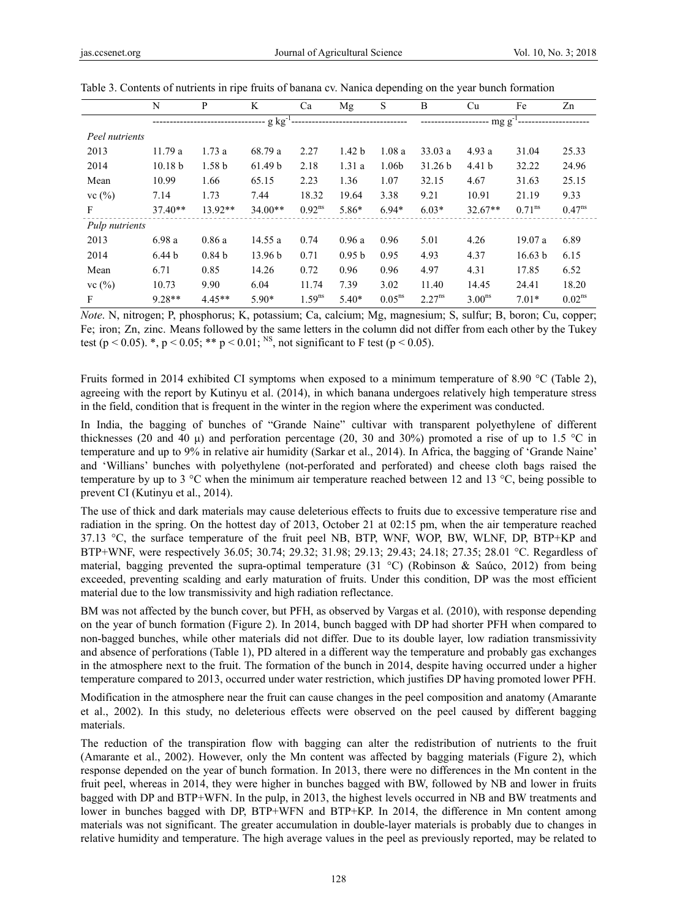|                | N                  | P                 | K         | Ca          | Mg                | S           | B                                | Cu                 | Fe                 | Zn                 |  |
|----------------|--------------------|-------------------|-----------|-------------|-------------------|-------------|----------------------------------|--------------------|--------------------|--------------------|--|
|                | $-g kg$            |                   |           |             |                   |             | -------------------- mg $g^{-1}$ |                    |                    |                    |  |
| Peel nutrients |                    |                   |           |             |                   |             |                                  |                    |                    |                    |  |
| 2013           | 11.79a             | 1.73a             | 68.79 a   | 2.27        | 1.42 <sub>b</sub> | 1.08a       | 33.03a                           | 4.93a              | 31.04              | 25.33              |  |
| 2014           | 10.18 <sub>b</sub> | 1.58 <sub>b</sub> | 61.49 b   | 2.18        | 1.31a             | 1.06b       | 31.26 b                          | 4.41 <sub>b</sub>  | 32.22              | 24.96              |  |
| Mean           | 10.99              | 1.66              | 65.15     | 2.23        | 1.36              | 1.07        | 32.15                            | 4.67               | 31.63              | 25.15              |  |
| vc $(\%)$      | 7.14               | 1.73              | 7.44      | 18.32       | 19.64             | 3.38        | 9.21                             | 10.91              | 21.19              | 9.33               |  |
| F              | $37.40**$          | $13.92**$         | $34.00**$ | $0.92^{ns}$ | 5.86*             | $6.94*$     | $6.03*$                          | $32.67**$          | $0.71^{\text{ns}}$ | $0.47^{ns}$        |  |
| Pulp nutrients |                    |                   |           |             |                   |             |                                  |                    |                    |                    |  |
| 2013           | 6.98 a             | 0.86a             | 14.55a    | 0.74        | 0.96a             | 0.96        | 5.01                             | 4.26               | 19.07 a            | 6.89               |  |
| 2014           | 6.44 <sub>b</sub>  | 0.84 <sub>b</sub> | 13.96 b   | 0.71        | 0.95 <sub>b</sub> | 0.95        | 4.93                             | 4.37               | 16.63 b            | 6.15               |  |
| Mean           | 6.71               | 0.85              | 14.26     | 0.72        | 0.96              | 0.96        | 4.97                             | 4.31               | 17.85              | 6.52               |  |
| vc(%)          | 10.73              | 9.90              | 6.04      | 11.74       | 7.39              | 3.02        | 11.40                            | 14.45              | 24.41              | 18.20              |  |
| F              | $9.28**$           | $4.45**$          | $5.90*$   | $1.59^{ns}$ | $5.40*$           | $0.05^{ns}$ | $2.27^{ns}$                      | 3.00 <sup>ns</sup> | $7.01*$            | 0.02 <sup>ns</sup> |  |

Table 3. Contents of nutrients in ripe fruits of banana cv. Nanica depending on the year bunch formation

*Note*. N, nitrogen; P, phosphorus; K, potassium; Ca, calcium; Mg, magnesium; S, sulfur; B, boron; Cu, copper; Fe; iron; Zn, zinc. Means followed by the same letters in the column did not differ from each other by the Tukey test (p < 0.05). \*, p < 0.05; \*\* p < 0.01; <sup>NS</sup>, not significant to F test (p < 0.05).

Fruits formed in 2014 exhibited CI symptoms when exposed to a minimum temperature of 8.90 °C (Table 2), agreeing with the report by Kutinyu et al. (2014), in which banana undergoes relatively high temperature stress in the field, condition that is frequent in the winter in the region where the experiment was conducted.

In India, the bagging of bunches of "Grande Naine" cultivar with transparent polyethylene of different thicknesses (20 and 40  $\mu$ ) and perforation percentage (20, 30 and 30%) promoted a rise of up to 1.5 °C in temperature and up to 9% in relative air humidity (Sarkar et al., 2014). In Africa, the bagging of 'Grande Naine' and 'Willians' bunches with polyethylene (not-perforated and perforated) and cheese cloth bags raised the temperature by up to 3 °C when the minimum air temperature reached between 12 and 13 °C, being possible to prevent CI (Kutinyu et al., 2014).

The use of thick and dark materials may cause deleterious effects to fruits due to excessive temperature rise and radiation in the spring. On the hottest day of 2013, October 21 at 02:15 pm, when the air temperature reached 37.13 °C, the surface temperature of the fruit peel NB, BTP, WNF, WOP, BW, WLNF, DP, BTP+KP and BTP+WNF, were respectively 36.05; 30.74; 29.32; 31.98; 29.13; 29.43; 24.18; 27.35; 28.01 °C. Regardless of material, bagging prevented the supra-optimal temperature (31 °C) (Robinson & Saúco, 2012) from being exceeded, preventing scalding and early maturation of fruits. Under this condition, DP was the most efficient material due to the low transmissivity and high radiation reflectance.

BM was not affected by the bunch cover, but PFH, as observed by Vargas et al. (2010), with response depending on the year of bunch formation (Figure 2). In 2014, bunch bagged with DP had shorter PFH when compared to non-bagged bunches, while other materials did not differ. Due to its double layer, low radiation transmissivity and absence of perforations (Table 1), PD altered in a different way the temperature and probably gas exchanges in the atmosphere next to the fruit. The formation of the bunch in 2014, despite having occurred under a higher temperature compared to 2013, occurred under water restriction, which justifies DP having promoted lower PFH.

Modification in the atmosphere near the fruit can cause changes in the peel composition and anatomy (Amarante et al., 2002). In this study, no deleterious effects were observed on the peel caused by different bagging materials.

The reduction of the transpiration flow with bagging can alter the redistribution of nutrients to the fruit (Amarante et al., 2002). However, only the Mn content was affected by bagging materials (Figure 2), which response depended on the year of bunch formation. In 2013, there were no differences in the Mn content in the fruit peel, whereas in 2014, they were higher in bunches bagged with BW, followed by NB and lower in fruits bagged with DP and BTP+WFN. In the pulp, in 2013, the highest levels occurred in NB and BW treatments and lower in bunches bagged with DP, BTP+WFN and BTP+KP. In 2014, the difference in Mn content among materials was not significant. The greater accumulation in double-layer materials is probably due to changes in relative humidity and temperature. The high average values in the peel as previously reported, may be related to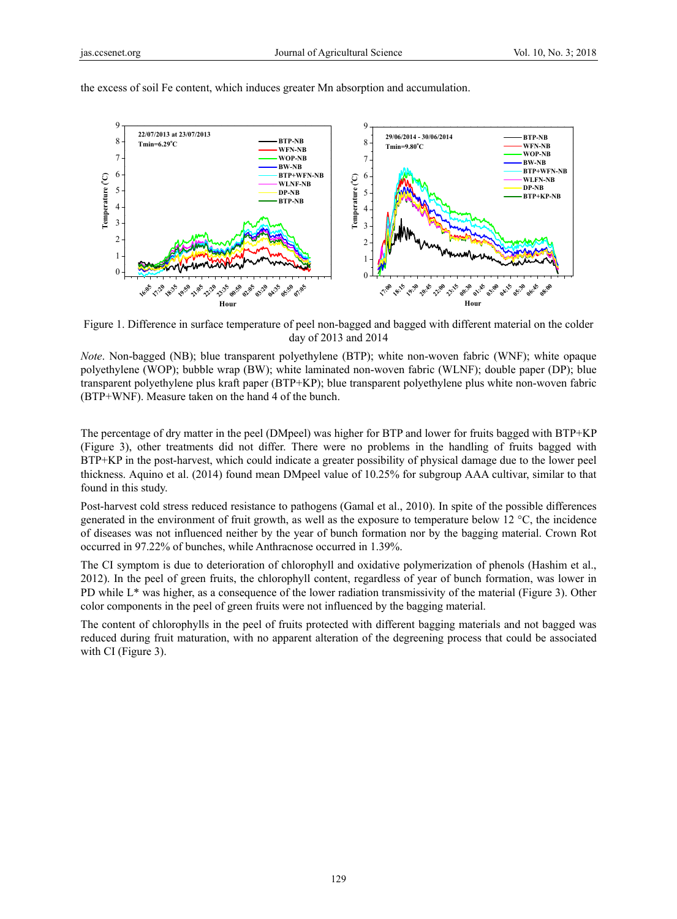

the excess of soil Fe content, which induces greater Mn absorption and accumulation.

Figure 1. Difference in surface temperature of peel non-bagged and bagged with different material on the colder day of 2013 and 2014

*Note*. Non-bagged (NB); blue transparent polyethylene (BTP); white non-woven fabric (WNF); white opaque polyethylene (WOP); bubble wrap (BW); white laminated non-woven fabric (WLNF); double paper (DP); blue transparent polyethylene plus kraft paper (BTP+KP); blue transparent polyethylene plus white non-woven fabric (BTP+WNF). Measure taken on the hand 4 of the bunch.

The percentage of dry matter in the peel (DMpeel) was higher for BTP and lower for fruits bagged with BTP+KP (Figure 3), other treatments did not differ. There were no problems in the handling of fruits bagged with BTP+KP in the post-harvest, which could indicate a greater possibility of physical damage due to the lower peel thickness. Aquino et al. (2014) found mean DMpeel value of 10.25% for subgroup AAA cultivar, similar to that found in this study.

Post-harvest cold stress reduced resistance to pathogens (Gamal et al., 2010). In spite of the possible differences generated in the environment of fruit growth, as well as the exposure to temperature below 12 °C, the incidence of diseases was not influenced neither by the year of bunch formation nor by the bagging material. Crown Rot occurred in 97.22% of bunches, while Anthracnose occurred in 1.39%.

The CI symptom is due to deterioration of chlorophyll and oxidative polymerization of phenols (Hashim et al., 2012). In the peel of green fruits, the chlorophyll content, regardless of year of bunch formation, was lower in PD while L\* was higher, as a consequence of the lower radiation transmissivity of the material (Figure 3). Other color components in the peel of green fruits were not influenced by the bagging material.

The content of chlorophylls in the peel of fruits protected with different bagging materials and not bagged was reduced during fruit maturation, with no apparent alteration of the degreening process that could be associated with CI (Figure 3).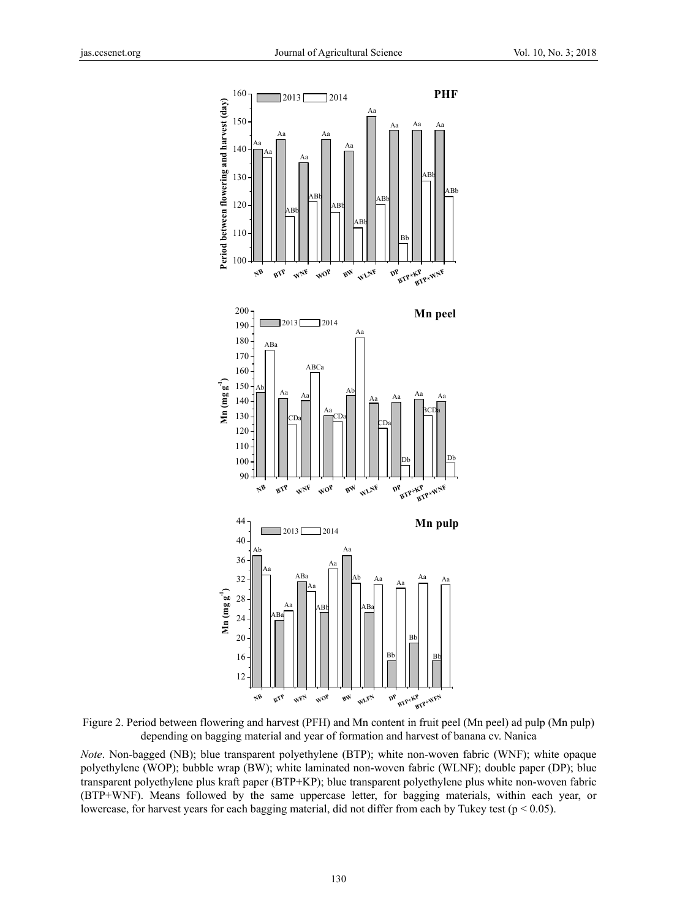

Figure 2. Period between flowering and harvest (PFH) and Mn content in fruit peel (Mn peel) ad pulp (Mn pulp) depending on bagging material and year of formation and harvest of banana cv. Nanica

*Note*. Non-bagged (NB); blue transparent polyethylene (BTP); white non-woven fabric (WNF); white opaque polyethylene (WOP); bubble wrap (BW); white laminated non-woven fabric (WLNF); double paper (DP); blue transparent polyethylene plus kraft paper (BTP+KP); blue transparent polyethylene plus white non-woven fabric (BTP+WNF). Means followed by the same uppercase letter, for bagging materials, within each year, or lowercase, for harvest years for each bagging material, did not differ from each by Tukey test ( $p < 0.05$ ).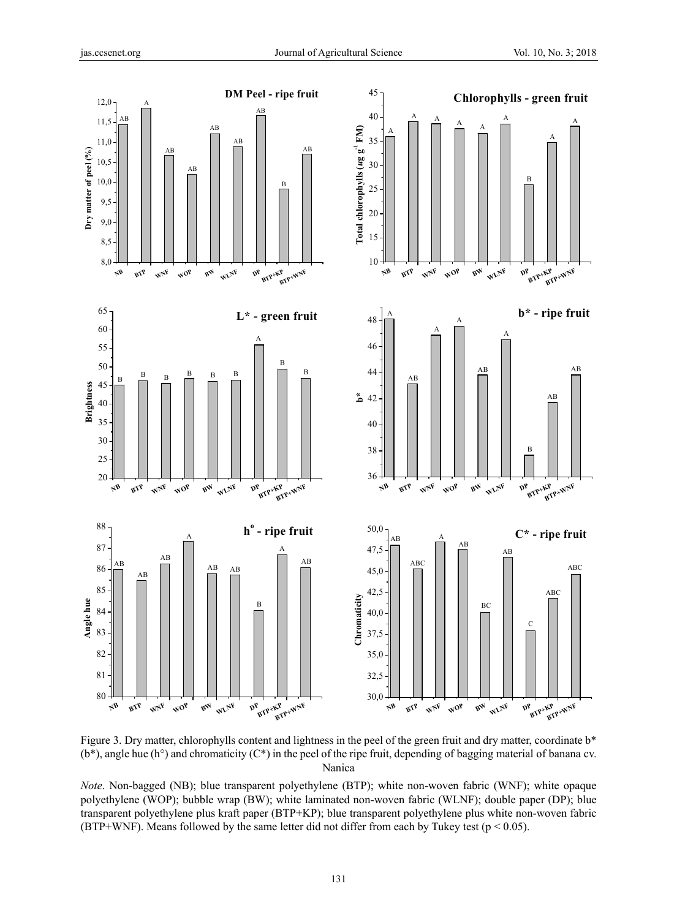

Figure 3. Dry matter, chlorophylls content and lightness in the peel of the green fruit and dry matter, coordinate b<sup>\*</sup>  $(b^*)$ , angle hue  $(h^{\circ})$  and chromaticity  $(C^*)$  in the peel of the ripe fruit, depending of bagging material of banana cv. Nanica

*Note*. Non-bagged (NB); blue transparent polyethylene (BTP); white non-woven fabric (WNF); white opaque polyethylene (WOP); bubble wrap (BW); white laminated non-woven fabric (WLNF); double paper (DP); blue transparent polyethylene plus kraft paper (BTP+KP); blue transparent polyethylene plus white non-woven fabric (BTP+WNF). Means followed by the same letter did not differ from each by Tukey test ( $p < 0.05$ ).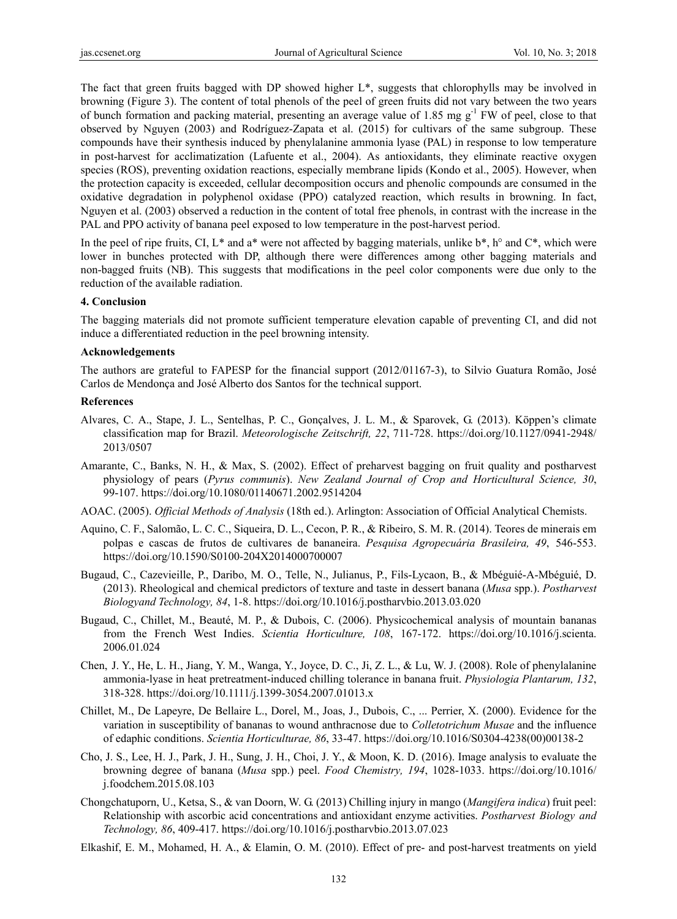The fact that green fruits bagged with DP showed higher L\*, suggests that chlorophylls may be involved in browning (Figure 3). The content of total phenols of the peel of green fruits did not vary between the two years of bunch formation and packing material, presenting an average value of 1.85 mg  $g^{-1}$  FW of peel, close to that observed by Nguyen (2003) and Rodríguez-Zapata et al. (2015) for cultivars of the same subgroup. These compounds have their synthesis induced by phenylalanine ammonia lyase (PAL) in response to low temperature in post-harvest for acclimatization (Lafuente et al., 2004). As antioxidants, they eliminate reactive oxygen species (ROS), preventing oxidation reactions, especially membrane lipids (Kondo et al., 2005). However, when the protection capacity is exceeded, cellular decomposition occurs and phenolic compounds are consumed in the oxidative degradation in polyphenol oxidase (PPO) catalyzed reaction, which results in browning. In fact, Nguyen et al. (2003) observed a reduction in the content of total free phenols, in contrast with the increase in the PAL and PPO activity of banana peel exposed to low temperature in the post-harvest period.

In the peel of ripe fruits, CI, L\* and a\* were not affected by bagging materials, unlike  $b^*$ , h° and  $C^*$ , which were lower in bunches protected with DP, although there were differences among other bagging materials and non-bagged fruits (NB). This suggests that modifications in the peel color components were due only to the reduction of the available radiation.

#### **4. Conclusion**

The bagging materials did not promote sufficient temperature elevation capable of preventing CI, and did not induce a differentiated reduction in the peel browning intensity.

#### **Acknowledgements**

The authors are grateful to FAPESP for the financial support (2012/01167-3), to Silvio Guatura Romão, José Carlos de Mendonça and José Alberto dos Santos for the technical support.

#### **References**

- Alvares, C. A., Stape, J. L., Sentelhas, P. C., Gonçalves, J. L. M., & Sparovek, G. (2013). Köppen's climate classification map for Brazil. *Meteorologische Zeitschrift, 22*, 711-728. https://doi.org/10.1127/0941-2948/ 2013/0507
- Amarante, C., Banks, N. H., & Max, S. (2002). Effect of preharvest bagging on fruit quality and postharvest physiology of pears (*Pyrus communis*). *New Zealand Journal of Crop and Horticultural Science, 30*, 99-107. https://doi.org/10.1080/01140671.2002.9514204
- AOAC. (2005). *Official Methods of Analysis* (18th ed.). Arlington: Association of Official Analytical Chemists.
- Aquino, C. F., Salomão, L. C. C., Siqueira, D. L., Cecon, P. R., & Ribeiro, S. M. R. (2014). Teores de minerais em polpas e cascas de frutos de cultivares de bananeira. *Pesquisa Agropecuária Brasileira, 49*, 546-553. https://doi.org/10.1590/S0100-204X2014000700007
- Bugaud, C., Cazevieille, P., Daribo, M. O., Telle, N., Julianus, P., Fils-Lycaon, B., & Mbéguié-A-Mbéguié, D. (2013). Rheological and chemical predictors of texture and taste in dessert banana (*Musa* spp.). *Postharvest Biologyand Technology, 84*, 1-8. https://doi.org/10.1016/j.postharvbio.2013.03.020
- Bugaud, C., Chillet, M., Beauté, M. P., & Dubois, C. (2006). Physicochemical analysis of mountain bananas from the French West Indies. *Scientia Horticulture, 108*, 167-172. https://doi.org/10.1016/j.scienta. 2006.01.024
- Chen, J. Y., He, L. H., Jiang, Y. M., Wanga, Y., Joyce, D. C., Ji, Z. L., & Lu, W. J. (2008). Role of phenylalanine ammonia-lyase in heat pretreatment-induced chilling tolerance in banana fruit. *Physiologia Plantarum, 132*, 318-328. https://doi.org/10.1111/j.1399-3054.2007.01013.x
- Chillet, M., De Lapeyre, De Bellaire L., Dorel, M., Joas, J., Dubois, C., ... Perrier, X. (2000). Evidence for the variation in susceptibility of bananas to wound anthracnose due to *Colletotrichum Musae* and the influence of edaphic conditions. *Scientia Horticulturae, 86*, 33-47. https://doi.org/10.1016/S0304-4238(00)00138-2
- Cho, J. S., Lee, H. J., Park, J. H., Sung, J. H., Choi, J. Y., & Moon, K. D. (2016). Image analysis to evaluate the browning degree of banana (*Musa* spp.) peel. *Food Chemistry, 194*, 1028-1033. https://doi.org/10.1016/ j.foodchem.2015.08.103
- Chongchatuporn, U., Ketsa, S., & van Doorn, W. G. (2013) Chilling injury in mango (*Mangifera indica*) fruit peel: Relationship with ascorbic acid concentrations and antioxidant enzyme activities. *Postharvest Biology and Technology, 86*, 409-417. https://doi.org/10.1016/j.postharvbio.2013.07.023
- Elkashif, E. M., Mohamed, H. A., & Elamin, O. M. (2010). Effect of pre- and post-harvest treatments on yield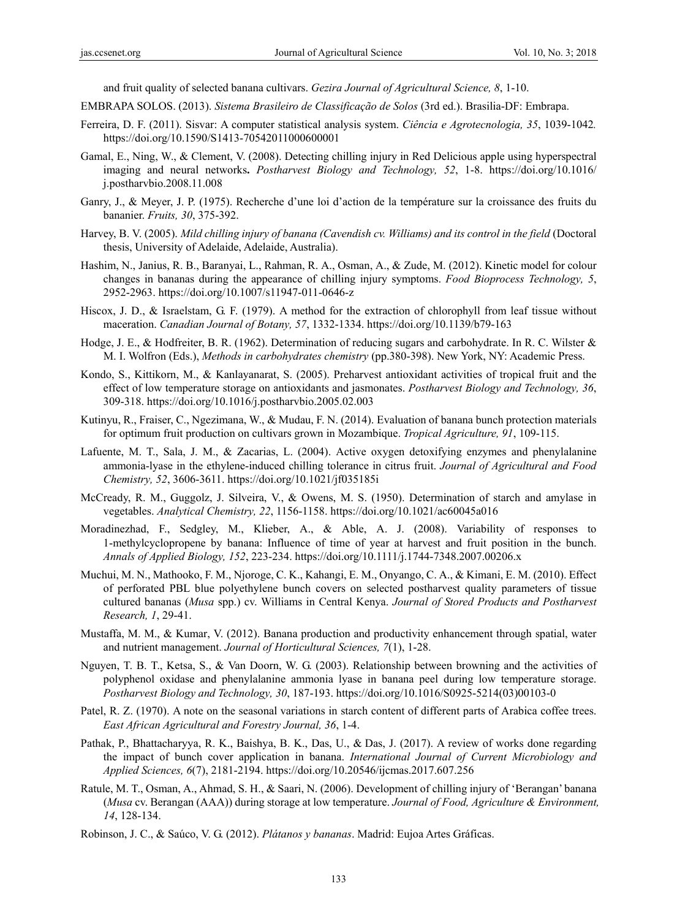and fruit quality of selected banana cultivars. *Gezira Journal of Agricultural Science, 8*, 1-10.

- EMBRAPA SOLOS. (2013). *Sistema Brasileiro de Classificação de Solos* (3rd ed.). Brasilia-DF: Embrapa.
- Ferreira, D. F. (2011). Sisvar: A computer statistical analysis system. *Ciência e Agrotecnologia, 35*, 1039-1042*.* https://doi.org/10.1590/S1413-70542011000600001
- Gamal, E., Ning, W., & Clement, V. (2008). Detecting chilling injury in Red Delicious apple using hyperspectral imaging and neural networks**.** *Postharvest Biology and Technology, 52*, 1-8. https://doi.org/10.1016/ j.postharvbio.2008.11.008
- Ganry, J., & Meyer, J. P. (1975). Recherche d'une loi d'action de la température sur la croissance des fruits du bananier. *Fruits, 30*, 375-392.
- Harvey, B. V. (2005). *Mild chilling injury of banana (Cavendish cv. Williams) and its control in the field* (Doctoral thesis, University of Adelaide, Adelaide, Australia).
- Hashim, N., Janius, R. B., Baranyai, L., Rahman, R. A., Osman, A., & Zude, M. (2012). Kinetic model for colour changes in bananas during the appearance of chilling injury symptoms. *Food Bioprocess Technology, 5*, 2952-2963. https://doi.org/10.1007/s11947-011-0646-z
- Hiscox, J. D., & Israelstam, G. F. (1979). A method for the extraction of chlorophyll from leaf tissue without maceration. *Canadian Journal of Botany, 57*, 1332-1334. https://doi.org/10.1139/b79-163
- Hodge, J. E., & Hodfreiter, B. R. (1962). Determination of reducing sugars and carbohydrate. In R. C. Wilster & M. I. Wolfron (Eds.), *Methods in carbohydrates chemistry* (pp.380-398). New York, NY: Academic Press.
- Kondo, S., Kittikorn, M., & Kanlayanarat, S. (2005). Preharvest antioxidant activities of tropical fruit and the effect of low temperature storage on antioxidants and jasmonates. *Postharvest Biology and Technology, 36*, 309-318. https://doi.org/10.1016/j.postharvbio.2005.02.003
- Kutinyu, R., Fraiser, C., Ngezimana, W., & Mudau, F. N. (2014). Evaluation of banana bunch protection materials for optimum fruit production on cultivars grown in Mozambique. *Tropical Agriculture, 91*, 109-115.
- Lafuente, M. T., Sala, J. M., & Zacarias, L. (2004). Active oxygen detoxifying enzymes and phenylalanine ammonia-lyase in the ethylene-induced chilling tolerance in citrus fruit. *Journal of Agricultural and Food Chemistry, 52*, 3606-3611. https://doi.org/10.1021/jf035185i
- McCready, R. M., Guggolz, J. Silveira, V., & Owens, M. S. (1950). Determination of starch and amylase in vegetables. *Analytical Chemistry, 22*, 1156-1158. https://doi.org/10.1021/ac60045a016
- Moradinezhad, F., Sedgley, M., Klieber, A., & Able, A. J. (2008). Variability of responses to 1-methylcyclopropene by banana: Influence of time of year at harvest and fruit position in the bunch. *Annals of Applied Biology, 152*, 223-234. https://doi.org/10.1111/j.1744-7348.2007.00206.x
- Muchui, M. N., Mathooko, F. M., Njoroge, C. K., Kahangi, E. M., Onyango, C. A., & Kimani, E. M. (2010). Effect of perforated PBL blue polyethylene bunch covers on selected postharvest quality parameters of tissue cultured bananas (*Musa* spp.) cv. Williams in Central Kenya. *Journal of Stored Products and Postharvest Research, 1*, 29-41.
- Mustaffa, M. M., & Kumar, V. (2012). Banana production and productivity enhancement through spatial, water and nutrient management. *Journal of Horticultural Sciences, 7*(1), 1-28.
- Nguyen, T. B. T., Ketsa, S., & Van Doorn, W. G. (2003). Relationship between browning and the activities of polyphenol oxidase and phenylalanine ammonia lyase in banana peel during low temperature storage. *Postharvest Biology and Technology, 30*, 187-193. https://doi.org/10.1016/S0925-5214(03)00103-0
- Patel, R. Z. (1970). A note on the seasonal variations in starch content of different parts of Arabica coffee trees. *East African Agricultural and Forestry Journal, 36*, 1-4.
- Pathak, P., Bhattacharyya, R. K., Baishya, B. K., Das, U., & Das, J. (2017). A review of works done regarding the impact of bunch cover application in banana. *International Journal of Current Microbiology and Applied Sciences, 6*(7), 2181-2194. https://doi.org/10.20546/ijcmas.2017.607.256
- Ratule, M. T., Osman, A., Ahmad, S. H., & Saari, N. (2006). Development of chilling injury of 'Berangan' banana (*Musa* cv. Berangan (AAA)) during storage at low temperature. *Journal of Food, Agriculture & Environment, 14*, 128-134.
- Robinson, J. C., & Saúco, V. G. (2012). *Plátanos y bananas*. Madrid: Eujoa Artes Gráficas.